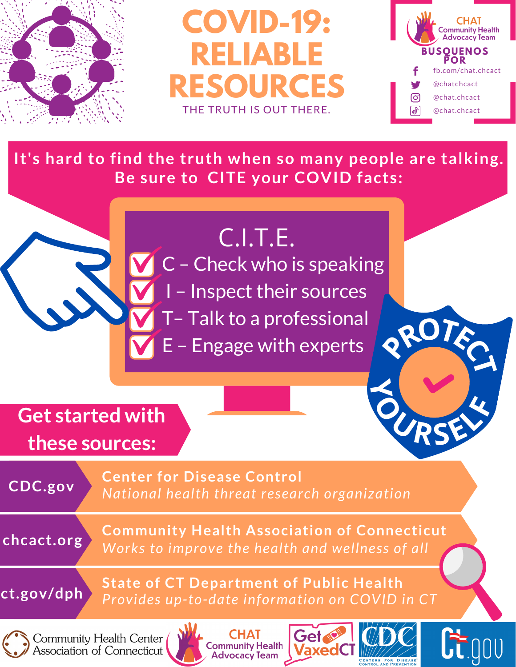

**COVID-19: RELIABLE RESOURCES** THE TRUTH IS OUT THERE.



**<sup>P</sup>ROTEC<sup>T</sup>**

 $\frac{1}{2}$ 

**It's hard to find the truth when so many people are talking. Be sure to CITE your COVID facts:**

## C.I.T.E.

C – Check who is speaking

I – Inspect their sources

T– Talk to a professional

E – Engage with experts

**Get started with these sources:**



**Center for Disease Control** *National health threat research organization*

**chcact.org**

**Community Health Association of Connecticut** *Works to improve the health and wellness of all*



**State of CT Department of Public Health** *Provides up-to-date information on COVID in CT*



Community Health Center Association of Connecticut